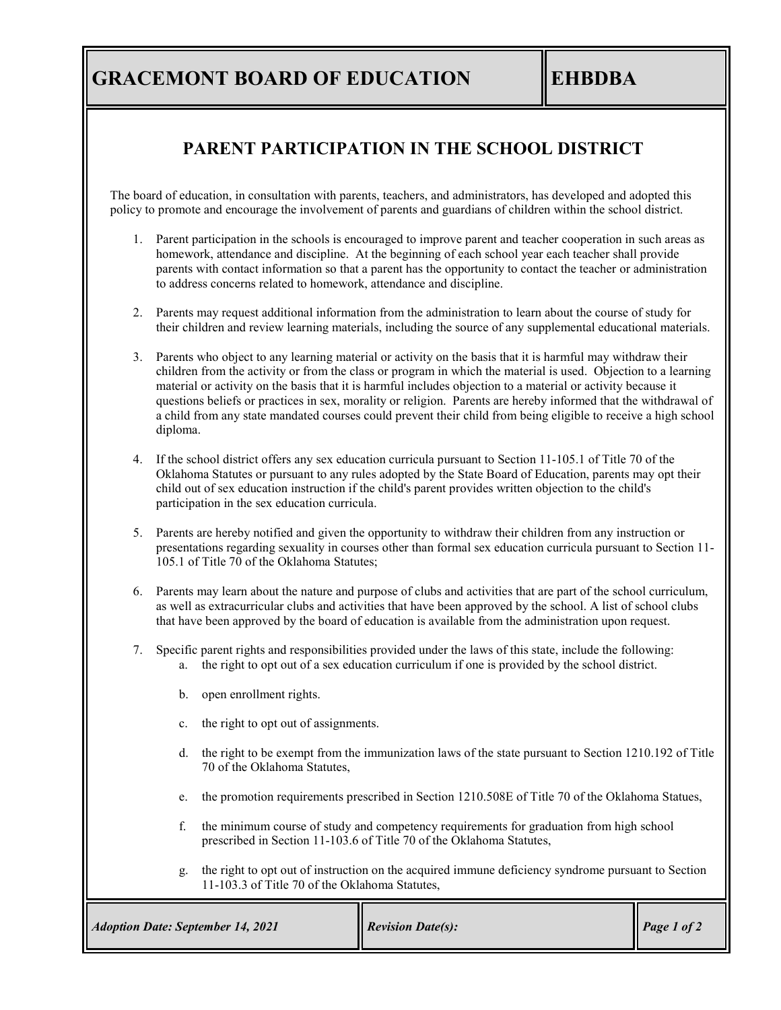## **GRACEMONT BOARD OF EDUCATION EHBDBA**

### **PARENT PARTICIPATION IN THE SCHOOL DISTRICT**

The board of education, in consultation with parents, teachers, and administrators, has developed and adopted this policy to promote and encourage the involvement of parents and guardians of children within the school district.

- 1. Parent participation in the schools is encouraged to improve parent and teacher cooperation in such areas as homework, attendance and discipline. At the beginning of each school year each teacher shall provide parents with contact information so that a parent has the opportunity to contact the teacher or administration to address concerns related to homework, attendance and discipline.
- 2. Parents may request additional information from the administration to learn about the course of study for their children and review learning materials, including the source of any supplemental educational materials.
- 3. Parents who object to any learning material or activity on the basis that it is harmful may withdraw their children from the activity or from the class or program in which the material is used. Objection to a learning material or activity on the basis that it is harmful includes objection to a material or activity because it questions beliefs or practices in sex, morality or religion. Parents are hereby informed that the withdrawal of a child from any state mandated courses could prevent their child from being eligible to receive a high school diploma.
- 4. If the school district offers any sex education curricula pursuant to Section 11-105.1 of Title 70 of the Oklahoma Statutes or pursuant to any rules adopted by the State Board of Education, parents may opt their child out of sex education instruction if the child's parent provides written objection to the child's participation in the sex education curricula.
- 5. Parents are hereby notified and given the opportunity to withdraw their children from any instruction or presentations regarding sexuality in courses other than formal sex education curricula pursuant to Section 11- 105.1 of Title 70 of the Oklahoma Statutes;
- 6. Parents may learn about the nature and purpose of clubs and activities that are part of the school curriculum, as well as extracurricular clubs and activities that have been approved by the school. A list of school clubs that have been approved by the board of education is available from the administration upon request.
- 7. Specific parent rights and responsibilities provided under the laws of this state, include the following: a. the right to opt out of a sex education curriculum if one is provided by the school district.
	- b. open enrollment rights.
	- c. the right to opt out of assignments.
	- d. the right to be exempt from the immunization laws of the state pursuant to Section 1210.192 of Title 70 of the Oklahoma Statutes,
	- e. the promotion requirements prescribed in Section 1210.508E of Title 70 of the Oklahoma Statues,
	- f. the minimum course of study and competency requirements for graduation from high school prescribed in Section 11-103.6 of Title 70 of the Oklahoma Statutes,
	- g. the right to opt out of instruction on the acquired immune deficiency syndrome pursuant to Section 11-103.3 of Title 70 of the Oklahoma Statutes,

| <b>Adoption Date: September 14, 2021</b> | <b>Revision Date(s):</b> | $\vert$ Page 1 of 2 |
|------------------------------------------|--------------------------|---------------------|
|------------------------------------------|--------------------------|---------------------|